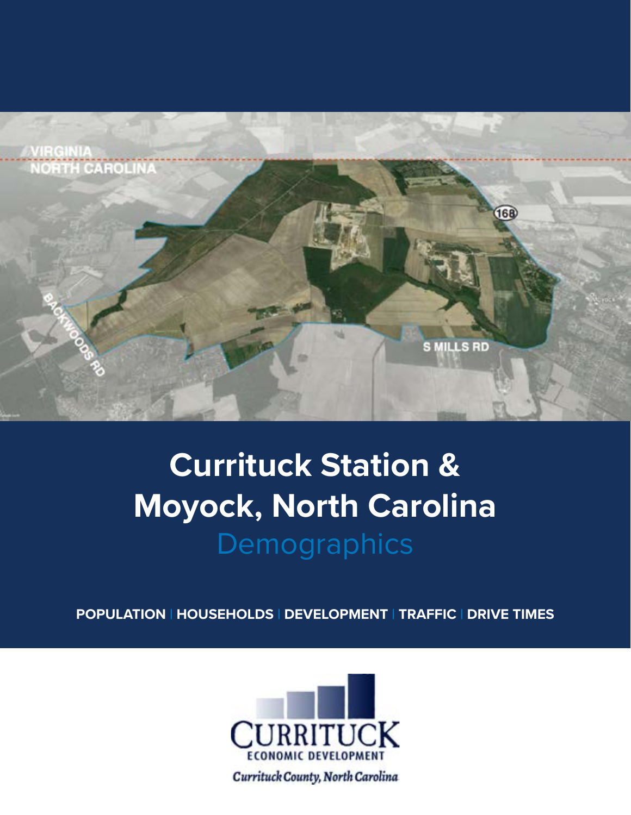

# **Currituck Station & Moyock, North Carolina Demographics**

**POPULATION | HOUSEHOLDS | DEVELOPMENT | TRAFFIC | DRIVE TIMES**



Currituck County, North Carolina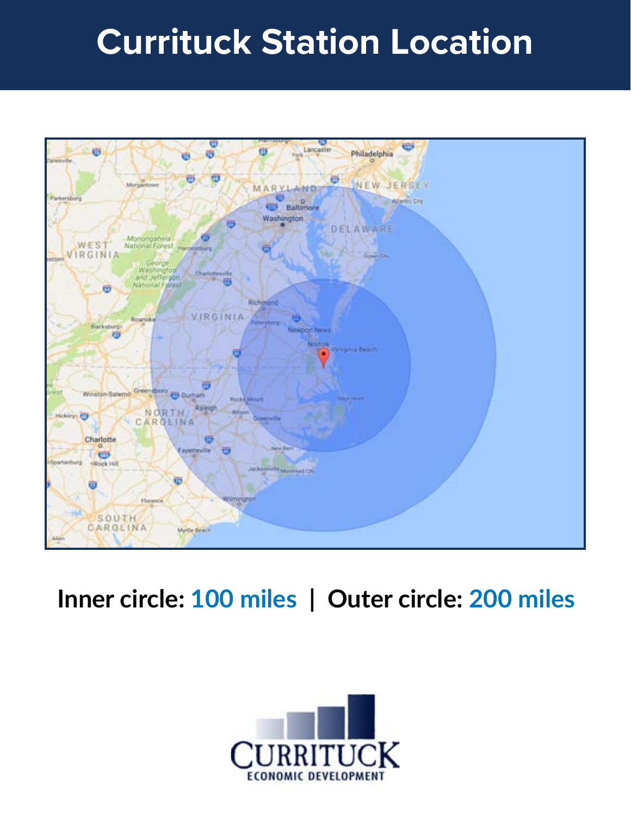# **Currituck Station Location**



### **Inner circle: 100 miles | Outer circle: 200 miles**

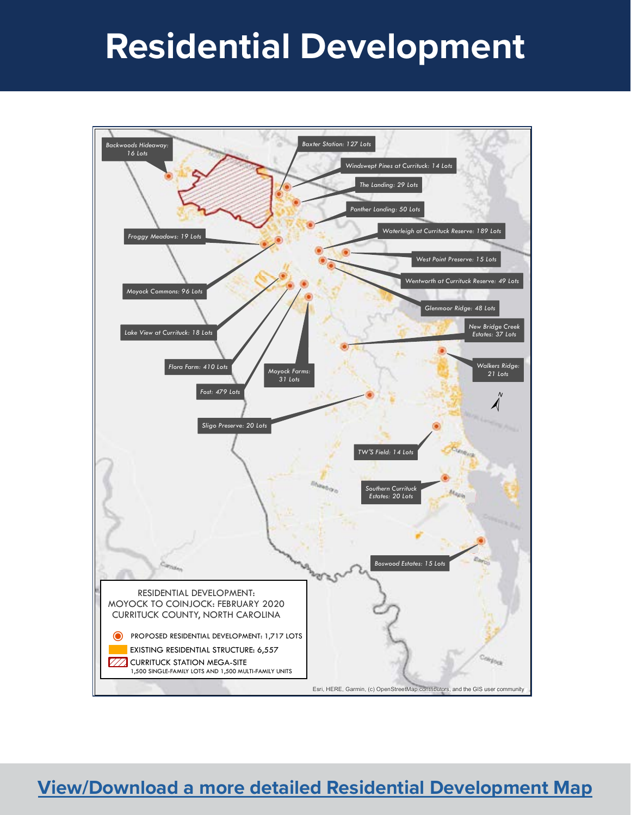# **Residential Development**



#### **[View/Download a more detailed](https://cdn2.hubspot.net/hubfs/308635/Residential%20Development%20North%20of%20Coinjock%20Canal_Intracoastal%20Waterway_ICW_022820.pdf) Residential Development Map**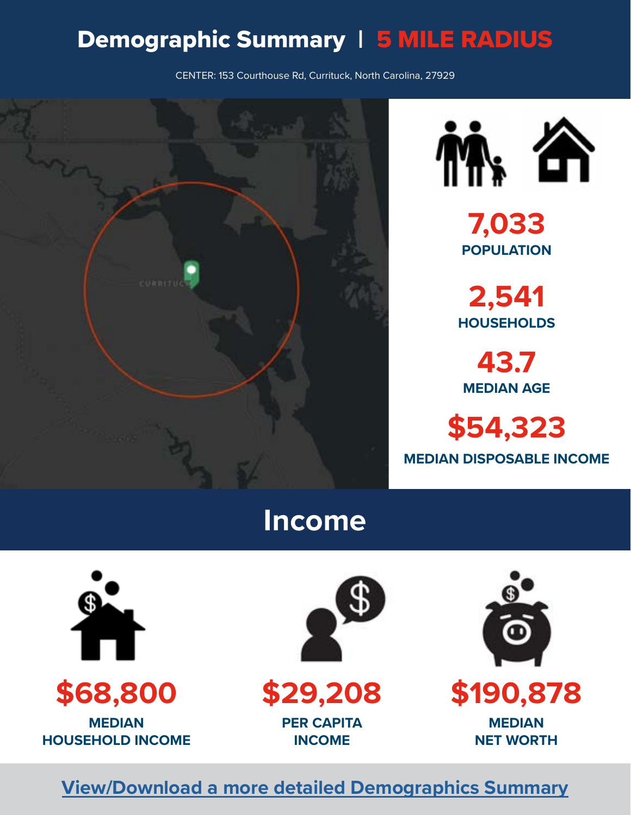### Demographic Summary | 5 MILE RADIUS

CENTER: 153 Courthouse Rd, Currituck, North Carolina, 27929





**7,033 POPULATION**

**2,541 HOUSEHOLDS**

**43.7 MEDIAN AGE**

**\$54,323 MEDIAN DISPOSABLE INCOME**

#### **Income**





**\$29,208 PER CAPITA INCOME**



**\$190,878**

**MEDIAN NET WORTH**

#### **[View/Download a more detailed Demographics Summary](https://cdn2.hubspot.net/hubfs/308635/Demographic%20Summary%20Courthouse%20Rd%202.pdf)**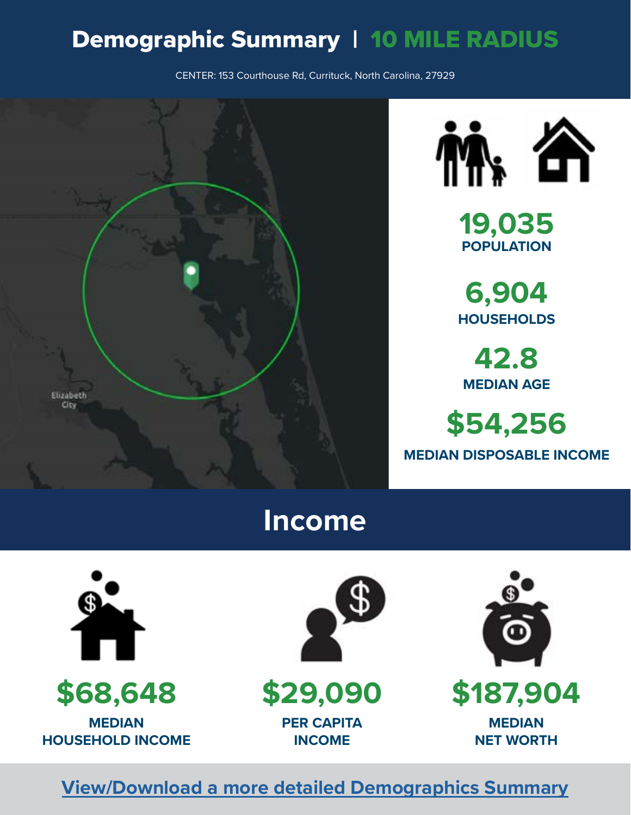### Demographic Summary | 10 MILE RADIUS

CENTER: 153 Courthouse Rd, Currituck, North Carolina, 27929





**19,035 POPULATION** 

**6,904 HOUSEHOLDS**

**42.8 MEDIAN AGE**

**\$54,256 MEDIAN DISPOSABLE INCOME**

### **Income**



**\$68,648**

**MEDIAN HOUSEHOLD INCOME**



**\$29,090 PER CAPITA INCOME**



**\$187,904**

**MEDIAN NET WORTH**

#### **[View/Download a more detailed Demographics Summary](https://cdn2.hubspot.net/hubfs/308635/Demographic%20Summary%20Courthouse%20Rd%202.pdf)**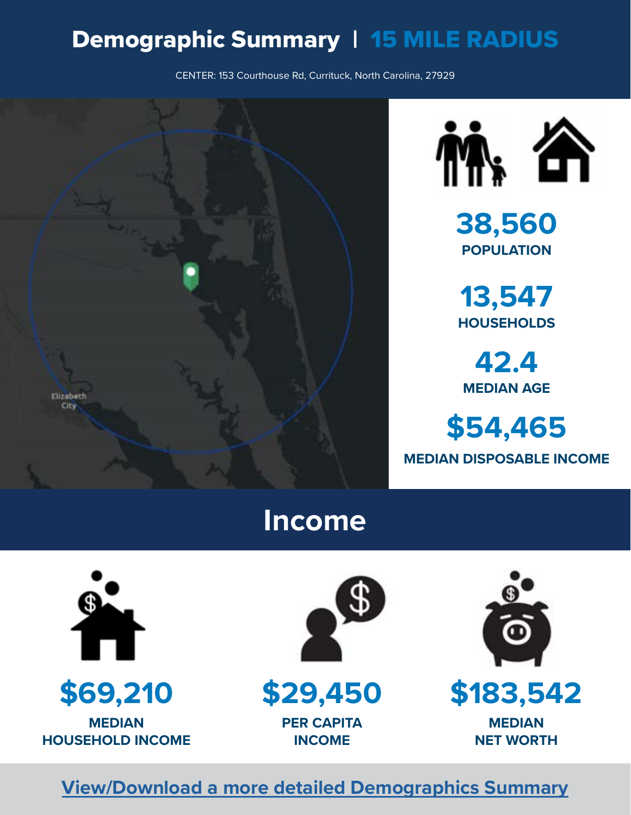### Demographic Summary | 15 MILE RADIUS

CENTER: 153 Courthouse Rd, Currituck, North Carolina, 27929





**38,560 POPULATION**

**13,547 HOUSEHOLDS**

**42.4 MEDIAN AGE**

**\$54,465 MEDIAN DISPOSABLE INCOME**

#### **Income**





**\$29,450**

**PER CAPITA INCOME**



**\$183,542**

**MEDIAN NET WORTH**

#### **[View/Download a more detailed Demographics Summary](https://cdn2.hubspot.net/hubfs/308635/Demographic%20Summary%20Courthouse%20Rd%202.pdf)**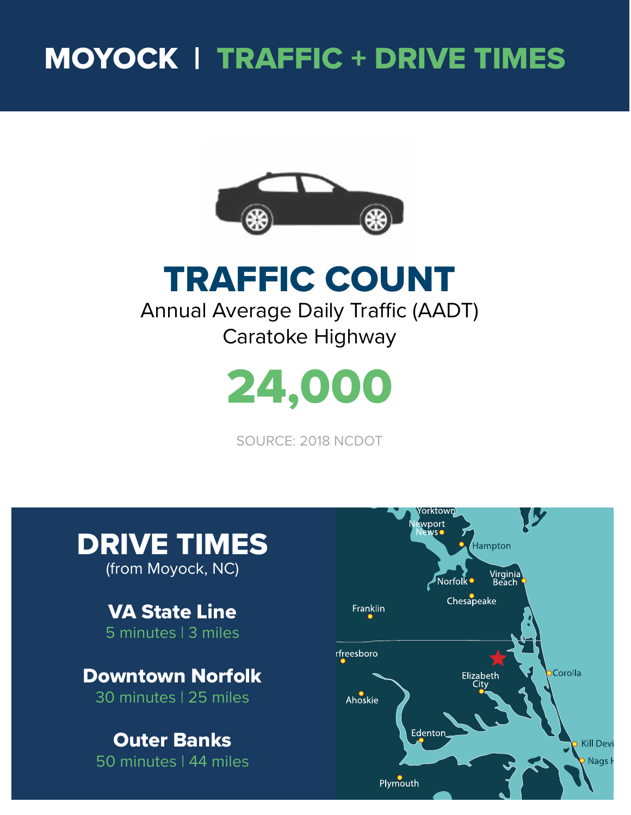## MOYOCK | TRAFFIC + DRIVE TIMES



TRAFFIC COUNT Annual Average Daily Traffic (AADT) Caratoke Highway



SOURCE: 2018 NCDOT



(from Moyock, NC)

VA State Line 5 minutes | 3 miles

Downtown Norfolk 30 minutes | 25 miles

#### Outer Banks 50 minutes | 44 miles